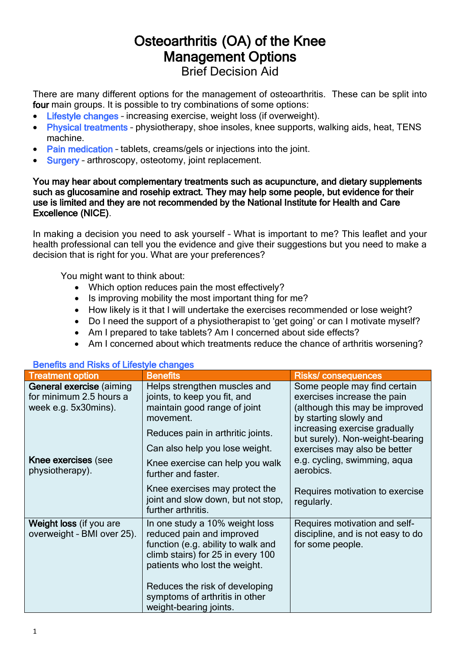# Osteoarthritis (OA) of the Knee Management Options Brief Decision Aid

There are many different options for the management of osteoarthritis. These can be split into four main groups. It is possible to try combinations of some options:

- Lifestyle changes increasing exercise, weight loss (if overweight).
- Physical treatments physiotherapy, shoe insoles, knee supports, walking aids, heat, TENS machine.
- Pain medication tablets, creams/gels or injections into the joint.
- Surgery arthroscopy, osteotomy, joint replacement.

#### You may hear about complementary treatments such as acupuncture, and dietary supplements such as glucosamine and rosehip extract. They may help some people, but evidence for their use is limited and they are not recommended by the National Institute for Health and Care Excellence (NICE).

In making a decision you need to ask yourself – What is important to me? This leaflet and your health professional can tell you the evidence and give their suggestions but you need to make a decision that is right for you. What are your preferences?

You might want to think about:

- Which option reduces pain the most effectively?
- Is improving mobility the most important thing for me?
- How likely is it that I will undertake the exercises recommended or lose weight?
- Do I need the support of a physiotherapist to 'get going' or can I motivate myself?
- Am I prepared to take tablets? Am I concerned about side effects?
- Am I concerned about which treatments reduce the chance of arthritis worsening?

| <b>Treatment option</b>                                                            | <b>Benefits</b>                                                                                                                                                         | <b>Risks/consequences</b>                                                                                               |
|------------------------------------------------------------------------------------|-------------------------------------------------------------------------------------------------------------------------------------------------------------------------|-------------------------------------------------------------------------------------------------------------------------|
| <b>General exercise (aiming</b><br>for minimum 2.5 hours a<br>week e.g. 5x30mins). | Helps strengthen muscles and<br>joints, to keep you fit, and<br>maintain good range of joint<br>movement.                                                               | Some people may find certain<br>exercises increase the pain<br>(although this may be improved<br>by starting slowly and |
|                                                                                    | Reduces pain in arthritic joints.                                                                                                                                       | increasing exercise gradually<br>but surely). Non-weight-bearing                                                        |
|                                                                                    | Can also help you lose weight.                                                                                                                                          | exercises may also be better                                                                                            |
| Knee exercises (see<br>physiotherapy).                                             | Knee exercise can help you walk<br>further and faster.                                                                                                                  | e.g. cycling, swimming, aqua<br>aerobics.                                                                               |
|                                                                                    | Knee exercises may protect the<br>joint and slow down, but not stop,<br>further arthritis.                                                                              | Requires motivation to exercise<br>regularly.                                                                           |
| Weight loss (if you are<br>overweight - BMI over 25).                              | In one study a 10% weight loss<br>reduced pain and improved<br>function (e.g. ability to walk and<br>climb stairs) for 25 in every 100<br>patients who lost the weight. | Requires motivation and self-<br>discipline, and is not easy to do<br>for some people.                                  |
|                                                                                    | Reduces the risk of developing<br>symptoms of arthritis in other<br>weight-bearing joints.                                                                              |                                                                                                                         |

#### Benefits and Risks of Lifestyle changes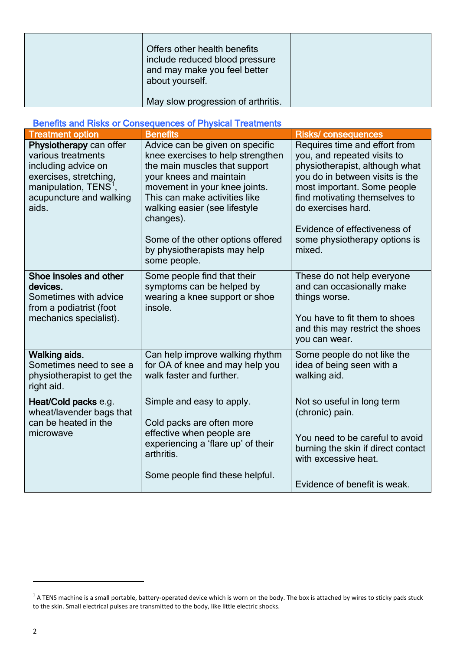| Offers other health benefits<br>include reduced blood pressure<br>and may make you feel better<br>about yourself. |  |
|-------------------------------------------------------------------------------------------------------------------|--|
| May slow progression of arthritis.                                                                                |  |

#### Benefits and Risks or Consequences of Physical Treatments

| <b>Treatment option</b>                                                                                                                                                 | <b>Benefits</b>                                                                                                                                                                                                                                                                                                                       | <b>Risks/ consequences</b>                                                                                                                                                                                                                                                                         |
|-------------------------------------------------------------------------------------------------------------------------------------------------------------------------|---------------------------------------------------------------------------------------------------------------------------------------------------------------------------------------------------------------------------------------------------------------------------------------------------------------------------------------|----------------------------------------------------------------------------------------------------------------------------------------------------------------------------------------------------------------------------------------------------------------------------------------------------|
| Physiotherapy can offer<br>various treatments<br>including advice on<br>exercises, stretching,<br>manipulation, TENS <sup>1</sup> ,<br>acupuncture and walking<br>aids. | Advice can be given on specific<br>knee exercises to help strengthen<br>the main muscles that support<br>your knees and maintain<br>movement in your knee joints.<br>This can make activities like<br>walking easier (see lifestyle<br>changes).<br>Some of the other options offered<br>by physiotherapists may help<br>some people. | Requires time and effort from<br>you, and repeated visits to<br>physiotherapist, although what<br>you do in between visits is the<br>most important. Some people<br>find motivating themselves to<br>do exercises hard.<br>Evidence of effectiveness of<br>some physiotherapy options is<br>mixed. |
| Shoe insoles and other<br>devices.<br>Sometimes with advice<br>from a podiatrist (foot<br>mechanics specialist).                                                        | Some people find that their<br>symptoms can be helped by<br>wearing a knee support or shoe<br>insole.                                                                                                                                                                                                                                 | These do not help everyone<br>and can occasionally make<br>things worse.<br>You have to fit them to shoes<br>and this may restrict the shoes<br>you can wear.                                                                                                                                      |
| Walking aids.<br>Sometimes need to see a<br>physiotherapist to get the<br>right aid.                                                                                    | Can help improve walking rhythm<br>for OA of knee and may help you<br>walk faster and further.                                                                                                                                                                                                                                        | Some people do not like the<br>idea of being seen with a<br>walking aid.                                                                                                                                                                                                                           |
| Heat/Cold packs e.g.<br>wheat/lavender bags that<br>can be heated in the<br>microwave                                                                                   | Simple and easy to apply.<br>Cold packs are often more<br>effective when people are<br>experiencing a 'flare up' of their<br>arthritis.<br>Some people find these helpful.                                                                                                                                                            | Not so useful in long term<br>(chronic) pain.<br>You need to be careful to avoid<br>burning the skin if direct contact<br>with excessive heat.<br>Evidence of benefit is weak.                                                                                                                     |

 $\overline{a}$ 

 $^1$  A TENS machine is a small portable, battery-operated device which is worn on the body. The box is attached by wires to sticky pads stuck to the skin. Small electrical pulses are transmitted to the body, like little electric shocks.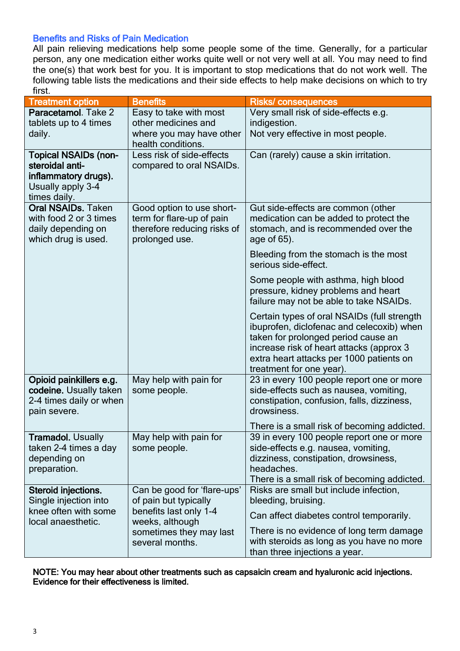### Benefits and Risks of Pain Medication

All pain relieving medications help some people some of the time. Generally, for a particular person, any one medication either works quite well or not very well at all. You may need to find the one(s) that work best for you. It is important to stop medications that do not work well. The following table lists the medications and their side effects to help make decisions on which to try first.

| <b>Treatment option</b>                                                                                     | <b>Benefits</b>                                                                                         | <b>Risks/consequences</b>                                                                                                                                                                                                                           |
|-------------------------------------------------------------------------------------------------------------|---------------------------------------------------------------------------------------------------------|-----------------------------------------------------------------------------------------------------------------------------------------------------------------------------------------------------------------------------------------------------|
| Paracetamol. Take 2                                                                                         | Easy to take with most                                                                                  | Very small risk of side-effects e.g.                                                                                                                                                                                                                |
| tablets up to 4 times                                                                                       | other medicines and                                                                                     | indigestion.                                                                                                                                                                                                                                        |
| daily.                                                                                                      | where you may have other<br>health conditions.                                                          | Not very effective in most people.                                                                                                                                                                                                                  |
| <b>Topical NSAIDs (non-</b><br>steroidal anti-<br>inflammatory drugs).<br>Usually apply 3-4<br>times daily. | Less risk of side-effects<br>compared to oral NSAIDs.                                                   | Can (rarely) cause a skin irritation.                                                                                                                                                                                                               |
| <b>Oral NSAIDs. Taken</b><br>with food 2 or 3 times<br>daily depending on<br>which drug is used.            | Good option to use short-<br>term for flare-up of pain<br>therefore reducing risks of<br>prolonged use. | Gut side-effects are common (other<br>medication can be added to protect the<br>stomach, and is recommended over the<br>age of 65).                                                                                                                 |
|                                                                                                             |                                                                                                         | Bleeding from the stomach is the most<br>serious side-effect.                                                                                                                                                                                       |
|                                                                                                             |                                                                                                         | Some people with asthma, high blood<br>pressure, kidney problems and heart<br>failure may not be able to take NSAIDs.                                                                                                                               |
|                                                                                                             |                                                                                                         | Certain types of oral NSAIDs (full strength<br>ibuprofen, diclofenac and celecoxib) when<br>taken for prolonged period cause an<br>increase risk of heart attacks (approx 3<br>extra heart attacks per 1000 patients on<br>treatment for one year). |
| Opioid painkillers e.g.<br>codeine. Usually taken<br>2-4 times daily or when<br>pain severe.                | May help with pain for<br>some people.                                                                  | 23 in every 100 people report one or more<br>side-effects such as nausea, vomiting,<br>constipation, confusion, falls, dizziness,<br>drowsiness.                                                                                                    |
|                                                                                                             |                                                                                                         | There is a small risk of becoming addicted.                                                                                                                                                                                                         |
| <b>Tramadol. Usually</b><br>taken 2-4 times a day<br>depending on<br>preparation.                           | May help with pain for<br>some people.                                                                  | 39 in every 100 people report one or more<br>side-effects e.g. nausea, vomiting,<br>dizziness, constipation, drowsiness,<br>headaches.<br>There is a small risk of becoming addicted.                                                               |
| Steroid injections.                                                                                         | Can be good for 'flare-ups'                                                                             | Risks are small but include infection,                                                                                                                                                                                                              |
| Single injection into<br>knee often with some<br>local anaesthetic.                                         | of pain but typically<br>benefits last only 1-4<br>weeks, although                                      | bleeding, bruising.<br>Can affect diabetes control temporarily.                                                                                                                                                                                     |
|                                                                                                             | sometimes they may last<br>several months.                                                              | There is no evidence of long term damage<br>with steroids as long as you have no more<br>than three injections a year.                                                                                                                              |

NOTE: You may hear about other treatments such as capsaicin cream and hyaluronic acid injections. Evidence for their effectiveness is limited.